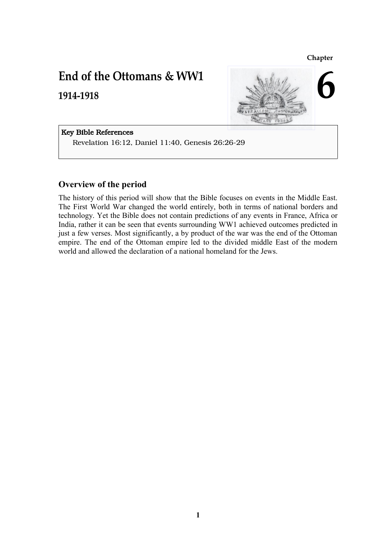**Chapter**

# **End of the Ottomans & WW1**

**1914-1918**



### Key Bible References

Revelation 16:12, Daniel 11:40, Genesis 26:26-29

# **Overview of the period**

The history of this period will show that the Bible focuses on events in the Middle East. The First World War changed the world entirely, both in terms of national borders and technology. Yet the Bible does not contain predictions of any events in France, Africa or India, rather it can be seen that events surrounding WW1 achieved outcomes predicted in just a few verses. Most significantly, a by product of the war was the end of the Ottoman empire. The end of the Ottoman empire led to the divided middle East of the modern world and allowed the declaration of a national homeland for the Jews.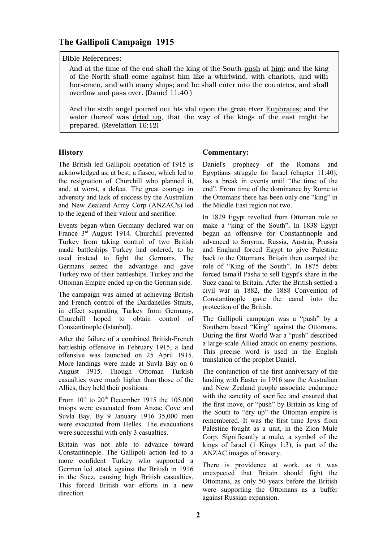# **The Gallipoli Campaign 1915**

#### Bible References:

And at the time of the end shall the king of the South push at him: and the king of the North shall come against him like a whirlwind, with chariots, and with horsemen, and with many ships; and he shall enter into the countries, and shall overflow and pass over. (Daniel 11:40 )

And the sixth angel poured out his vial upon the great river Euphrates; and the water thereof was dried up, that the way of the kings of the east might be prepared. (Revelation 16:12)

#### **History**

The British led Gallipoli operation of 1915 is acknowledged as, at best, a fiasco, which led to the resignation of Churchill who planned it, and, at worst, a defeat. The great courage in adversity and lack of success by the Australian and New Zealand Army Corp (ANZAC's) led to the legend of their valour and sacrifice.

Events began when Germany declared war on France 3<sup>rd</sup> August 1914. Churchill prevented Turkey from taking control of two British made battleships Turkey had ordered, to be used instead to fight the Germans. The Germans seized the advantage and gave Turkey two of their battleships. Turkey and the Ottoman Empire ended up on the German side.

The campaign was aimed at achieving British and French control of the Dardanelles Straits, in effect separating Turkey from Germany. Churchill hoped to obtain control of Constantinople (Istanbul).

After the failure of a combined British-French battleship offensive in February 1915, a land offensive was launched on 25 April 1915. More landings were made at Suvla Bay on 6 August 1915. Though Ottoman Turkish casualties were much higher than those of the Allies, they held their positions.

From  $10^{th}$  to  $20^{th}$  December 1915 the 105,000 troops were evacuated from Anzac Cove and Suvla Bay. By 9 January 1916 35,000 men were evacuated from Helles. The evacuations were successful with only 3 casualties.

Britain was not able to advance toward Constantinople. The Gallipoli action led to a more confident Turkey who supported a German led attack against the British in 1916 in the Suez, causing high British casualties. This forced British war efforts in a new direction

#### **Commentary:**

Daniel's prophecy of the Romans and Egyptians struggle for Israel (chapter 11:40), has a break in events until "the time of the end". From time of the dominance by Rome to the Ottomans there has been only one "king" in the Middle East region not two.

In 1829 Egypt revolted from Ottoman rule to make a "king of the South". In 1838 Egypt began an offensive for Constantinople and advanced to Smyrna. Russia, Austria, Prussia and England forced Egypt to give Palestine back to the Ottomans. Britain then usurped the role of "King of the South". In 1875 debts forced Isma'il Pasha to sell Egypt's share in the Suez canal to Britain. After the British settled a civil war in 1882, the 1888 Convention of Constantinople gave the canal into the protection of the British.

The Gallipoli campaign was a "push" by a Southern based "King" against the Ottomans. During the first World War a "push" described a large-scale Allied attack on enemy positions. This precise word is used in the English translation of the prophet Daniel.

The conjunction of the first anniversary of the landing with Easter in 1916 saw the Australian and New Zealand people associate endurance with the sanctity of sacrifice and ensured that the first move, or "push" by Britain as king of the South to "dry up" the Ottoman empire is remembered. It was the first time Jews from Palestine fought as a unit, in the Zion Mule Corp. Significantly a mule, a symbol of the kings of Israel (1 Kings 1:3), is part of the ANZAC images of bravery.

There is providence at work, as it was unexpected that Britain should fight the Ottomans, as only 50 years before the British were supporting the Ottomans as a buffer against Russian expansion.